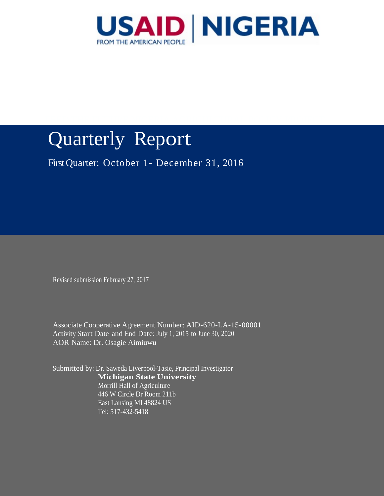

FEED THE FUTURE NIGERIA AGRICULTURAL POLICY PROJECT

# Quarterly Report

First Quarter: October 1- December 31, 2016

Revised submission February 27, 2017

Associate Cooperative Agreement Number: AID-620-LA-15-00001 Activity Start Date and End Date: July 1, 2015 to June 30, 2020 AOR Name: Dr. Osagie Aimiuwu

Submitted by: Dr. Saweda Liverpool-Tasie, Principal Investigator **Michigan State University** Morrill Hall of Agriculture 446 W Circle Dr Room 211b East Lansing MI 48824 US Tel: 517-432-5418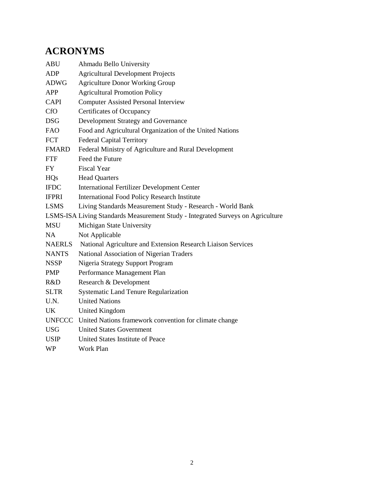# <span id="page-1-0"></span>**ACRONYMS**

| ABU           | Ahmadu Bello University                                                         |
|---------------|---------------------------------------------------------------------------------|
| ADP           | <b>Agricultural Development Projects</b>                                        |
| <b>ADWG</b>   | <b>Agriculture Donor Working Group</b>                                          |
| APP           | <b>Agricultural Promotion Policy</b>                                            |
| <b>CAPI</b>   | <b>Computer Assisted Personal Interview</b>                                     |
| <b>CfO</b>    | <b>Certificates of Occupancy</b>                                                |
| <b>DSG</b>    | Development Strategy and Governance                                             |
| <b>FAO</b>    | Food and Agricultural Organization of the United Nations                        |
| <b>FCT</b>    | <b>Federal Capital Territory</b>                                                |
| <b>FMARD</b>  | Federal Ministry of Agriculture and Rural Development                           |
| <b>FTF</b>    | Feed the Future                                                                 |
| <b>FY</b>     | <b>Fiscal Year</b>                                                              |
| <b>HQs</b>    | <b>Head Quarters</b>                                                            |
| <b>IFDC</b>   | <b>International Fertilizer Development Center</b>                              |
| <b>IFPRI</b>  | <b>International Food Policy Research Institute</b>                             |
| <b>LSMS</b>   | Living Standards Measurement Study - Research - World Bank                      |
|               | LSMS-ISA Living Standards Measurement Study - Integrated Surveys on Agriculture |
| <b>MSU</b>    | Michigan State University                                                       |
| NA            | Not Applicable                                                                  |
| <b>NAERLS</b> | National Agriculture and Extension Research Liaison Services                    |
| <b>NANTS</b>  | National Association of Nigerian Traders                                        |
| <b>NSSP</b>   | Nigeria Strategy Support Program                                                |
| <b>PMP</b>    | Performance Management Plan                                                     |
| R&D           | Research & Development                                                          |
| <b>SLTR</b>   | Systematic Land Tenure Regularization                                           |
| U.N.          | <b>United Nations</b>                                                           |
| UK            | <b>United Kingdom</b>                                                           |
| <b>UNFCCC</b> | United Nations framework convention for climate change                          |
| <b>USG</b>    | <b>United States Government</b>                                                 |
| <b>USIP</b>   | United States Institute of Peace                                                |
| WP            | Work Plan                                                                       |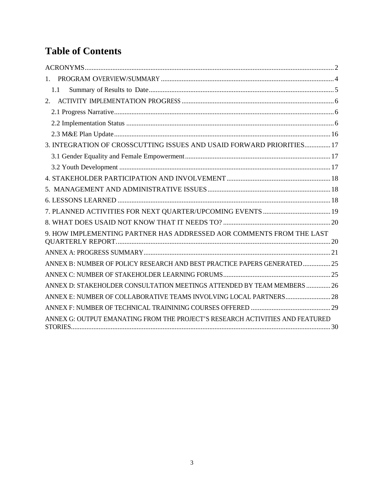# **Table of Contents**

| $1_{-}$                                                                       |  |
|-------------------------------------------------------------------------------|--|
| 1.1                                                                           |  |
| 2.                                                                            |  |
|                                                                               |  |
|                                                                               |  |
|                                                                               |  |
| 3. INTEGRATION OF CROSSCUTTING ISSUES AND USAID FORWARD PRIORITIES 17         |  |
|                                                                               |  |
|                                                                               |  |
|                                                                               |  |
|                                                                               |  |
|                                                                               |  |
|                                                                               |  |
|                                                                               |  |
| 9. HOW IMPLEMENTING PARTNER HAS ADDRESSED AOR COMMENTS FROM THE LAST          |  |
|                                                                               |  |
| ANNEX B: NUMBER OF POLICY RESEARCH AND BEST PRACTICE PAPERS GENERATED 25      |  |
|                                                                               |  |
| ANNEX D: STAKEHOLDER CONSULTATION MEETINGS ATTENDED BY TEAM MEMBERS  26       |  |
| ANNEX E: NUMBER OF COLLABORATIVE TEAMS INVOLVING LOCAL PARTNERS 28            |  |
|                                                                               |  |
| ANNEX G: OUTPUT EMANATING FROM THE PROJECT'S RESEARCH ACTIVITIES AND FEATURED |  |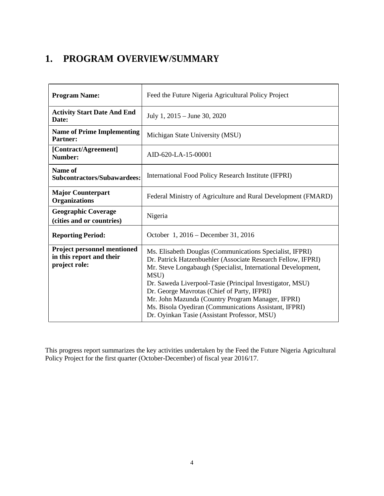# <span id="page-3-0"></span>**1. PROGRAM OVERVIEW/SUMMARY**

| <b>Program Name:</b>                                                            | Feed the Future Nigeria Agricultural Policy Project                                                                                                                                                                                                                                                                                                                                                                                                                       |
|---------------------------------------------------------------------------------|---------------------------------------------------------------------------------------------------------------------------------------------------------------------------------------------------------------------------------------------------------------------------------------------------------------------------------------------------------------------------------------------------------------------------------------------------------------------------|
| <b>Activity Start Date And End</b><br>Date:                                     | July 1, $2015 -$ June 30, 2020                                                                                                                                                                                                                                                                                                                                                                                                                                            |
| <b>Name of Prime Implementing</b><br><b>Partner:</b>                            | Michigan State University (MSU)                                                                                                                                                                                                                                                                                                                                                                                                                                           |
| [Contract/Agreement]<br>Number:                                                 | AID-620-LA-15-00001                                                                                                                                                                                                                                                                                                                                                                                                                                                       |
| Name of<br><b>Subcontractors/Subawardees:</b>                                   | International Food Policy Research Institute (IFPRI)                                                                                                                                                                                                                                                                                                                                                                                                                      |
| <b>Major Counterpart</b><br><b>Organizations</b>                                | Federal Ministry of Agriculture and Rural Development (FMARD)                                                                                                                                                                                                                                                                                                                                                                                                             |
| <b>Geographic Coverage</b><br>(cities and or countries)                         | Nigeria                                                                                                                                                                                                                                                                                                                                                                                                                                                                   |
| <b>Reporting Period:</b>                                                        | October 1, 2016 – December 31, 2016                                                                                                                                                                                                                                                                                                                                                                                                                                       |
| <b>Project personnel mentioned</b><br>in this report and their<br>project role: | Ms. Elisabeth Douglas (Communications Specialist, IFPRI)<br>Dr. Patrick Hatzenbuehler (Associate Research Fellow, IFPRI)<br>Mr. Steve Longabaugh (Specialist, International Development,<br>MSU)<br>Dr. Saweda Liverpool-Tasie (Principal Investigator, MSU)<br>Dr. George Mavrotas (Chief of Party, IFPRI)<br>Mr. John Mazunda (Country Program Manager, IFPRI)<br>Ms. Bisola Oyediran (Communications Assistant, IFPRI)<br>Dr. Oyinkan Tasie (Assistant Professor, MSU) |

This progress report summarizes the key activities undertaken by the Feed the Future Nigeria Agricultural Policy Project for the first quarter (October-December) of fiscal year 2016/17.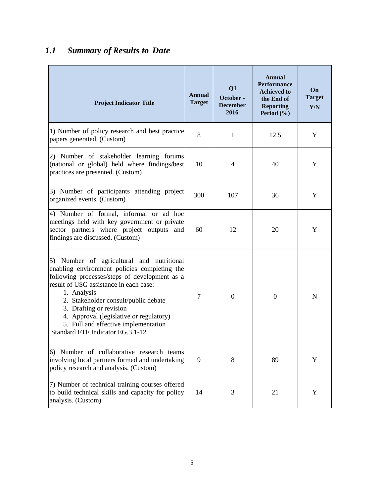# <span id="page-4-0"></span>*1.1 Summary of Results to Date*

| <b>Project Indicator Title</b>                                                                                                                                                                                                                                                                                                                                                                | Annual<br><b>Target</b> | Q1<br>October -<br><b>December</b><br>2016 | <b>Annual</b><br><b>Performance</b><br><b>Achieved to</b><br>the End of<br><b>Reporting</b><br>Period (%) | On<br><b>Target</b><br>Y/N |
|-----------------------------------------------------------------------------------------------------------------------------------------------------------------------------------------------------------------------------------------------------------------------------------------------------------------------------------------------------------------------------------------------|-------------------------|--------------------------------------------|-----------------------------------------------------------------------------------------------------------|----------------------------|
| 1) Number of policy research and best practice<br>papers generated. (Custom)                                                                                                                                                                                                                                                                                                                  | 8                       | $\mathbf{1}$                               | 12.5                                                                                                      | Y                          |
| 2) Number of stakeholder learning forums<br>(national or global) held where findings/best<br>practices are presented. (Custom)                                                                                                                                                                                                                                                                | 10                      | $\overline{4}$                             | 40                                                                                                        | Y                          |
| 3) Number of participants attending project<br>organized events. (Custom)                                                                                                                                                                                                                                                                                                                     | 300                     | 107                                        | 36                                                                                                        | Y                          |
| 4) Number of formal, informal or ad hoc<br>meetings held with key government or private<br>sector partners where project outputs and<br>findings are discussed. (Custom)                                                                                                                                                                                                                      | 60                      | 12                                         | 20                                                                                                        | Y                          |
| 5) Number of agricultural and nutritional<br>enabling environment policies completing the<br>following processes/steps of development as a<br>result of USG assistance in each case:<br>1. Analysis<br>2. Stakeholder consult/public debate<br>3. Drafting or revision<br>4. Approval (legislative or regulatory)<br>5. Full and effective implementation<br>Standard FTF Indicator EG.3.1-12 | 7                       | $\boldsymbol{0}$                           | $\overline{0}$                                                                                            | $\mathbf N$                |
| 6) Number of collaborative research teams<br>involving local partners formed and undertaking<br>policy research and analysis. (Custom)                                                                                                                                                                                                                                                        | 9                       | 8                                          | 89                                                                                                        | Y                          |
| 7) Number of technical training courses offered<br>to build technical skills and capacity for policy<br>analysis. (Custom)                                                                                                                                                                                                                                                                    | 14                      | 3                                          | 21                                                                                                        | Y                          |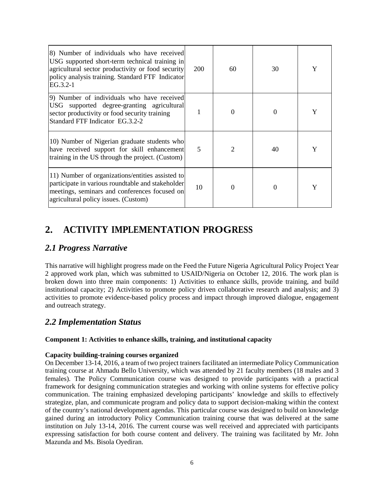| 8) Number of individuals who have received<br>USG supported short-term technical training in<br>agricultural sector productivity or food security<br>policy analysis training. Standard FTF Indicator<br>$EG.3.2-1$ | 200            | 60             | 30       |   |
|---------------------------------------------------------------------------------------------------------------------------------------------------------------------------------------------------------------------|----------------|----------------|----------|---|
| 9) Number of individuals who have received<br>USG supported degree-granting agricultural<br>sector productivity or food security training<br>Standard FTF Indicator EG.3.2-2                                        |                | $\Omega$       |          |   |
| 10) Number of Nigerian graduate students who<br>have received support for skill enhancement<br>training in the US through the project. (Custom)                                                                     | $\overline{5}$ | $\overline{2}$ | 40       | Y |
| 11) Number of organizations/entities assisted to<br>participate in various roundtable and stakeholder<br>meetings, seminars and conferences focused on<br>agricultural policy issues. (Custom)                      | 10             | $\Omega$       | $\Omega$ | Y |

# <span id="page-5-0"></span>**2. ACTIVITY IMPLEMENTATION PROGRESS**

### <span id="page-5-1"></span>*2.1 Progress Narrative*

This narrative will highlight progress made on the Feed the Future Nigeria Agricultural Policy Project Year 2 approved work plan, which was submitted to USAID/Nigeria on October 12, 2016. The work plan is broken down into three main components: 1) Activities to enhance skills, provide training, and build institutional capacity; 2) Activities to promote policy driven collaborative research and analysis; and 3) activities to promote evidence-based policy process and impact through improved dialogue, engagement and outreach strategy.

### <span id="page-5-2"></span>*2.2 Implementation Status*

#### **Component 1: Activities to enhance skills, training, and institutional capacity**

#### **Capacity building-training courses organized**

On December 13-14, 2016, a team of two project trainers facilitated an intermediate Policy Communication training course at Ahmadu Bello University, which was attended by 21 faculty members (18 males and 3 females). The Policy Communication course was designed to provide participants with a practical framework for designing communication strategies and working with online systems for effective policy communication. The training emphasized developing participants' knowledge and skills to effectively strategize, plan, and communicate program and policy data to support decision-making within the context of the country's national development agendas. This particular course was designed to build on knowledge gained during an introductory Policy Communication training course that was delivered at the same institution on July 13-14, 2016. The current course was well received and appreciated with participants expressing satisfaction for both course content and delivery. The training was facilitated by Mr. John Mazunda and Ms. Bisola Oyediran.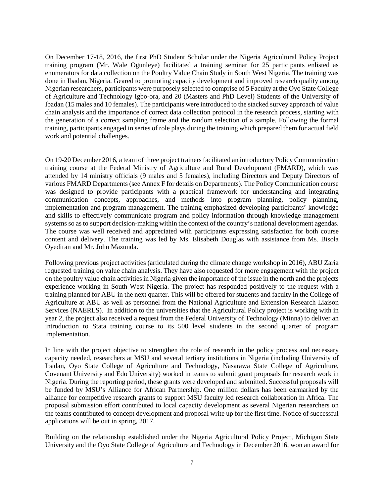On December 17-18, 2016, the first PhD Student Scholar under the Nigeria Agricultural Policy Project training program (Mr. Wale Ogunleye) facilitated a training seminar for 25 participants enlisted as enumerators for data collection on the Poultry Value Chain Study in South West Nigeria. The training was done in Ibadan, Nigeria. Geared to promoting capacity development and improved research quality among Nigerian researchers, participants were purposely selected to comprise of 5 Faculty at the Oyo State College of Agriculture and Technology Igbo-ora, and 20 (Masters and PhD Level) Students of the University of Ibadan (15 males and 10 females). The participants were introduced to the stacked survey approach of value chain analysis and the importance of correct data collection protocol in the research process, starting with the generation of a correct sampling frame and the random selection of a sample. Following the formal training, participants engaged in series of role plays during the training which prepared them for actual field work and potential challenges.

On 19-20 December 2016, a team of three project trainers facilitated an introductory Policy Communication training course at the Federal Ministry of Agriculture and Rural Development (FMARD), which was attended by 14 ministry officials (9 males and 5 females), including Directors and Deputy Directors of various FMARD Departments(see Annex F for details on Departments). The Policy Communication course was designed to provide participants with a practical framework for understanding and integrating communication concepts, approaches, and methods into program planning, policy planning, implementation and program management. The training emphasized developing participants' knowledge and skills to effectively communicate program and policy information through knowledge management systems so as to support decision-making within the context of the country's national development agendas. The course was well received and appreciated with participants expressing satisfaction for both course content and delivery. The training was led by Ms. Elisabeth Douglas with assistance from Ms. Bisola Oyediran and Mr. John Mazunda.

Following previous project activities (articulated during the climate change workshop in 2016), ABU Zaria requested training on value chain analysis. They have also requested for more engagement with the project on the poultry value chain activities in Nigeria given the importance of the issue in the north and the projects experience working in South West Nigeria. The project has responded positively to the request with a training planned for ABU in the next quarter. This will be offered for students and faculty in the College of Agriculture at ABU as well as personnel from the National Agriculture and Extension Research Liaison Services (NAERLS). In addition to the universities that the Agricultural Policy project is working with in year 2, the project also received a request from the Federal University of Technology (Minna) to deliver an introduction to Stata training course to its 500 level students in the second quarter of program implementation.

In line with the project objective to strengthen the role of research in the policy process and necessary capacity needed, researchers at MSU and several tertiary institutions in Nigeria (including University of Ibadan, Oyo State College of Agriculture and Technology, Nasarawa State College of Agriculture, Covenant University and Edo University) worked in teams to submit grant proposals for research work in Nigeria. During the reporting period, these grants were developed and submitted. Successful proposals will be funded by MSU's Alliance for African Partnership. One million dollars has been earmarked by the alliance for competitive research grants to support MSU faculty led research collaboration in Africa. The proposal submission effort contributed to local capacity development as several Nigerian researchers on the teams contributed to concept development and proposal write up for the first time. Notice of successful applications will be out in spring, 2017.

Building on the relationship established under the Nigeria Agricultural Policy Project, Michigan State University and the Oyo State College of Agriculture and Technology in December 2016, won an award for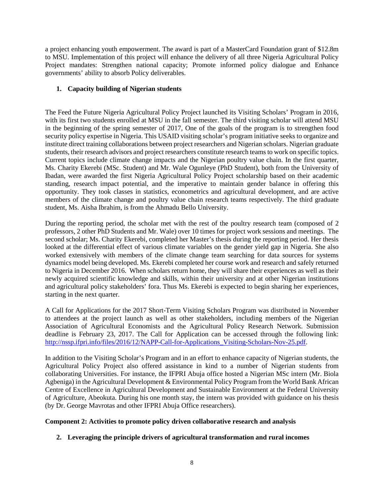a project enhancing youth empowerment. The award is part of a MasterCard Foundation grant of \$12.8m to MSU. Implementation of this project will enhance the delivery of all three Nigeria Agricultural Policy Project mandates: Strengthen national capacity; Promote informed policy dialogue and Enhance governments' ability to absorb Policy deliverables.

#### **1. Capacity building of Nigerian students**

The Feed the Future Nigeria Agricultural Policy Project launched its Visiting Scholars' Program in 2016, with its first two students enrolled at MSU in the fall semester. The third visiting scholar will attend MSU in the beginning of the spring semester of 2017, One of the goals of the program is to strengthen food security policy expertise in Nigeria. This USAID visiting scholar's program initiative seeks to organize and institute direct training collaborations between project researchers and Nigerian scholars. Nigerian graduate students, their research advisors and project researchers constitute research teams to work on specific topics. Current topics include climate change impacts and the Nigerian poultry value chain. In the first quarter, Ms. Charity Ekerebi (MSc. Student) and Mr. Wale Ogunleye (PhD Student), both from the University of Ibadan, were awarded the first Nigeria Agricultural Policy Project scholarship based on their academic standing, research impact potential, and the imperative to maintain gender balance in offering this opportunity. They took classes in statistics, econometrics and agricultural development, and are active members of the climate change and poultry value chain research teams respectively. The third graduate student, Ms. Aisha Ibrahim, is from the Ahmadu Bello University.

During the reporting period, the scholar met with the rest of the poultry research team (composed of 2 professors, 2 other PhD Students and Mr. Wale) over 10 times for project work sessions and meetings. The second scholar; Ms. Charity Ekerebi, completed her Master's thesis during the reporting period. Her thesis looked at the differential effect of various climate variables on the gender yield gap in Nigeria. She also worked extensively with members of the climate change team searching for data sources for systems dynamics model being developed. Ms. Ekerebi completed her course work and research and safely returned to Nigeria in December 2016. When scholars return home, they will share their experiences as well as their newly acquired scientific knowledge and skills, within their university and at other Nigerian institutions and agricultural policy stakeholders' fora. Thus Ms. Ekerebi is expected to begin sharing her experiences, starting in the next quarter.

A [Call for Applications](http://fsg.afre.msu.edu/fsp/nigeria/call_text.pdf) for the 2017 Short-Term Visiting Scholars Program was distributed in November to attendees at the project launch as well as other stakeholders, including members of the Nigerian Association of Agricultural Economists and the Agricultural Policy Research Network. Submission deadline is February 23, 2017. The Call for Application can be accessed through the following link: http://nssp.ifpri.info/files/2016/12/NAPP-Call-for-Applications Visiting-Scholars-Nov-25.pdf.

In addition to the Visiting Scholar's Program and in an effort to enhance capacity of Nigerian students, the Agricultural Policy Project also offered assistance in kind to a number of Nigerian students from collaborating Universities. For instance, the IFPRI Abuja office hosted a Nigerian MSc intern (Mr. Biola Agbeniga) in the Agricultural Development & Environmental Policy Program from the World Bank African Centre of Excellence in Agricultural Development and Sustainable Environment at the Federal University of Agriculture, Abeokuta. During his one month stay, the intern was provided with guidance on his thesis (by Dr. George Mavrotas and other IFPRI Abuja Office researchers).

#### **Component 2: Activities to promote policy driven collaborative research and analysis**

#### **2. Leveraging the principle drivers of agricultural transformation and rural incomes**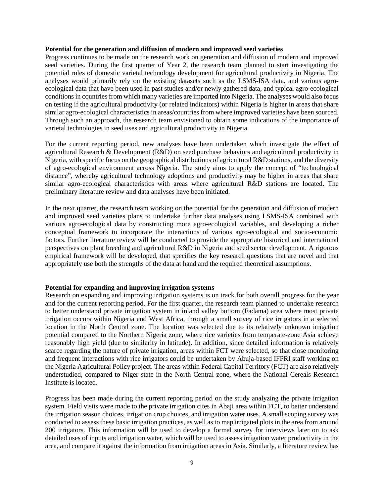#### **Potential for the generation and diffusion of modern and improved seed varieties**

Progress continues to be made on the research work on generation and diffusion of modern and improved seed varieties. During the first quarter of Year 2, the research team planned to start investigating the potential roles of domestic varietal technology development for agricultural productivity in Nigeria. The analyses would primarily rely on the existing datasets such as the LSMS-ISA data, and various agroecological data that have been used in past studies and/or newly gathered data, and typical agro-ecological conditions in countries from which many varieties are imported into Nigeria. The analyses would also focus on testing if the agricultural productivity (or related indicators) within Nigeria is higher in areas that share similar agro-ecological characteristics in areas/countries from where improved varieties have been sourced. Through such an approach, the research team envisioned to obtain some indications of the importance of varietal technologies in seed uses and agricultural productivity in Nigeria.

For the current reporting period, new analyses have been undertaken which investigate the effect of agricultural Research & Development (R&D) on seed purchase behaviors and agricultural productivity in Nigeria, with specific focus on the geographical distributions of agricultural R&D stations, and the diversity of agro-ecological environment across Nigeria. The study aims to apply the concept of "technological distance", whereby agricultural technology adoptions and productivity may be higher in areas that share similar agro-ecological characteristics with areas where agricultural R&D stations are located. The preliminary literature review and data analyses have been initiated.

In the next quarter, the research team working on the potential for the generation and diffusion of modern and improved seed varieties plans to undertake further data analyses using LSMS-ISA combined with various agro-ecological data by constructing more agro-ecological variables, and developing a richer conceptual framework to incorporate the interactions of various agro-ecological and socio-economic factors. Further literature review will be conducted to provide the appropriate historical and international perspectives on plant breeding and agricultural R&D in Nigeria and seed sector development. A rigorous empirical framework will be developed, that specifies the key research questions that are novel and that appropriately use both the strengths of the data at hand and the required theoretical assumptions.

#### **Potential for expanding and improving irrigation systems**

Research on expanding and improving irrigation systems is on track for both overall progress for the year and for the current reporting period. For the first quarter, the research team planned to undertake research to better understand private irrigation system in inland valley bottom (Fadama) area where most private irrigation occurs within Nigeria and West Africa, through a small survey of rice irrigators in a selected location in the North Central zone. The location was selected due to its relatively unknown irrigation potential compared to the Northern Nigeria zone, where rice varieties from temperate-zone Asia achieve reasonably high yield (due to similarity in latitude). In addition, since detailed information is relatively scarce regarding the nature of private irrigation, areas within FCT were selected, so that close monitoring and frequent interactions with rice irrigators could be undertaken by Abuja-based IFPRI staff working on the Nigeria Agricultural Policy project. The areas within Federal Capital Territory (FCT) are also relatively understudied, compared to Niger state in the North Central zone, where the National Cereals Research Institute is located.

Progress has been made during the current reporting period on the study analyzing the private irrigation system. Field visits were made to the private irrigation cites in Abaji area within FCT, to better understand the irrigation season choices, irrigation crop choices, and irrigation water uses. A small scoping survey was conducted to assess these basic irrigation practices, as well as to map irrigated plots in the area from around 200 irrigators. This information will be used to develop a formal survey for interviews later on to ask detailed uses of inputs and irrigation water, which will be used to assess irrigation water productivity in the area, and compare it against the information from irrigation areas in Asia. Similarly, a literature review has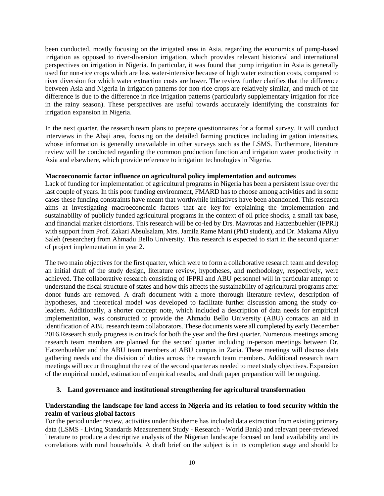been conducted, mostly focusing on the irrigated area in Asia, regarding the economics of pump-based irrigation as opposed to river-diversion irrigation, which provides relevant historical and international perspectives on irrigation in Nigeria. In particular, it was found that pump irrigation in Asia is generally used for non-rice crops which are less water-intensive because of high water extraction costs, compared to river diversion for which water extraction costs are lower. The review further clarifies that the difference between Asia and Nigeria in irrigation patterns for non-rice crops are relatively similar, and much of the difference is due to the difference in rice irrigation patterns (particularly supplementary irrigation for rice in the rainy season). These perspectives are useful towards accurately identifying the constraints for irrigation expansion in Nigeria.

In the next quarter, the research team plans to prepare questionnaires for a formal survey. It will conduct interviews in the Abaji area, focusing on the detailed farming practices including irrigation intensities, whose information is generally unavailable in other surveys such as the LSMS. Furthermore, literature review will be conducted regarding the common production function and irrigation water productivity in Asia and elsewhere, which provide reference to irrigation technologies in Nigeria.

#### **Macroeconomic factor influence on agricultural policy implementation and outcomes**

Lack of funding for implementation of agricultural programs in Nigeria has been a persistent issue over the last couple of years. In this poor funding environment, FMARD has to choose among activities and in some cases these funding constraints have meant that worthwhile initiatives have been abandoned. This research aims at investigating macroeconomic factors that are key for explaining the implementation and sustainability of publicly funded agricultural programs in the context of oil price shocks, a small tax base, and financial market distortions. This research will be co-led by Drs. Mavrotas and Hatzenbuehler (IFPRI) with support from Prof. Zakari Absulsalam, Mrs. Jamila Rame Mani (PhD student), and Dr. Makama Aliyu Saleh (researcher) from Ahmadu Bello University. This research is expected to start in the second quarter of project implementation in year 2.

The two main objectives for the first quarter, which were to form a collaborative research team and develop an initial draft of the study design, literature review, hypotheses, and methodology, respectively, were achieved. The collaborative research consisting of IFPRI and ABU personnel will in particular attempt to understand the fiscal structure of states and how this affects the sustainability of agricultural programs after donor funds are removed. A draft document with a more thorough literature review, description of hypotheses, and theoretical model was developed to facilitate further discussion among the study coleaders. Additionally, a shorter concept note, which included a description of data needs for empirical implementation, was constructed to provide the Ahmadu Bello University (ABU) contacts an aid in identification of ABU research team collaborators. These documents were all completed by early December 2016.Research study progress is on track for both the year and the first quarter. Numerous meetings among research team members are planned for the second quarter including in-person meetings between Dr. Hatzenbuehler and the ABU team members at ABU campus in Zaria. These meetings will discuss data gathering needs and the division of duties across the research team members. Additional research team meetings will occur throughout the rest of the second quarter as needed to meet study objectives. Expansion of the empirical model, estimation of empirical results, and draft paper preparation will be ongoing.

#### **3. Land governance and institutional strengthening for agricultural transformation**

#### **Understanding the landscape for land access in Nigeria and its relation to food security within the realm of various global factors**

For the period under review, activities under this theme has included data extraction from existing primary data (LSMS - [Living Standards Measurement Study -](https://www.google.com/url?sa=t&rct=j&q=&esrc=s&source=web&cd=&cad=rja&uact=8&ved=0ahUKEwjzuK7b6-LRAhXk64MKHfpBD9wQFggaMAA&url=http%3A%2F%2Fecon.worldbank.org%2FWBSITE%2FEXTERNAL%2FEXTDEC%2FEXTRESEARCH%2FEXTLSMS%2F0%2C%2CcontentMDK%3A21610833%7EpagePK%3A64168427%7EpiPK%3A64168435%7EtheSitePK%3A3358997%2C00.html&usg=AFQjCNFfzYSbJB0nnGZIYnDOPxjZ_gypsQ&sig2=zDn3A7cQ893uGxcBqu0hSg&bvm=bv.145063293,d.amc) Research - World Bank) and relevant peer-reviewed literature to produce a descriptive analysis of the Nigerian landscape focused on land availability and its correlations with rural households. A draft brief on the subject is in its completion stage and should be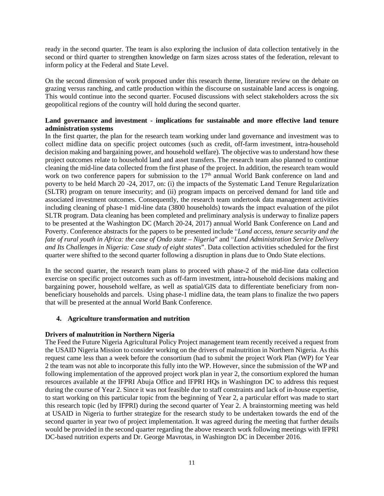ready in the second quarter. The team is also exploring the inclusion of data collection tentatively in the second or third quarter to strengthen knowledge on farm sizes across states of the federation, relevant to inform policy at the Federal and State Level.

On the second dimension of work proposed under this research theme, literature review on the debate on grazing versus ranching, and cattle production within the discourse on sustainable land access is ongoing. This would continue into the second quarter. Focused discussions with select stakeholders across the six geopolitical regions of the country will hold during the second quarter.

#### **Land governance and investment - implications for sustainable and more effective land tenure administration systems**

In the first quarter, the plan for the research team working under land governance and investment was to collect midline data on specific project outcomes (such as credit, off-farm investment, intra-household decision making and bargaining power, and household welfare). The objective was to understand how these project outcomes relate to household land and asset transfers. The research team also planned to continue cleaning the mid-line data collected from the first phase of the project. In addition, the research team would work on two conference papers for submission to the 17<sup>th</sup> annual World Bank conference on land and poverty to be held March 20 -24, 2017, on: (i) the impacts of the Systematic Land Tenure Regularization (SLTR) program on tenure insecurity; and (ii) program impacts on perceived demand for land title and associated investment outcomes. Consequently, the research team undertook data management activities including cleaning of phase-1 mid-line data (3800 households) towards the impact evaluation of the pilot SLTR program. Data cleaning has been completed and preliminary analysis is underway to finalize papers to be presented at the Washington DC (March 20-24, 2017) annual World Bank Conference on Land and Poverty. Conference abstracts for the papers to be presented include "*Land access, tenure security and the fate of rural youth in Africa: the case of Ondo state – Nigeria*" and "*Land Administration Service Delivery and Its Challenges in Nigeria: Case study of eight states*". Data collection activities scheduled for the first quarter were shifted to the second quarter following a disruption in plans due to Ondo State elections.

In the second quarter, the research team plans to proceed with phase-2 of the mid-line data collection exercise on specific project outcomes such as off-farm investment, intra-household decisions making and bargaining power, household welfare, as well as spatial/GIS data to differentiate beneficiary from nonbeneficiary households and parcels. Using phase-1 midline data, the team plans to finalize the two papers that will be presented at the annual World Bank Conference.

#### **4. Agriculture transformation and nutrition**

#### **Drivers of malnutrition in Northern Nigeria**

The Feed the Future Nigeria Agricultural Policy Project management team recently received a request from the USAID Nigeria Mission to consider working on the drivers of malnutrition in Northern Nigeria. As this request came less than a week before the consortium (had to submit the project Work Plan (WP) for Year 2 the team was not able to incorporate this fully into the WP. However, since the submission of the WP and following implementation of the approved project work plan in year 2, the consortium explored the human resources available at the IFPRI Abuja Office and IFPRI HQs in Washington DC to address this request during the course of Year 2. Since it was not feasible due to staff constraints and lack of in-house expertise, to start working on this particular topic from the beginning of Year 2, a particular effort was made to start this research topic (led by IFPRI) during the second quarter of Year 2. A brainstorming meeting was held at USAID in Nigeria to further strategize for the research study to be undertaken towards the end of the second quarter in year two of project implementation. It was agreed during the meeting that further details would be provided in the second quarter regarding the above research work following meetings with IFPRI DC-based nutrition experts and Dr. George Mavrotas, in Washington DC in December 2016.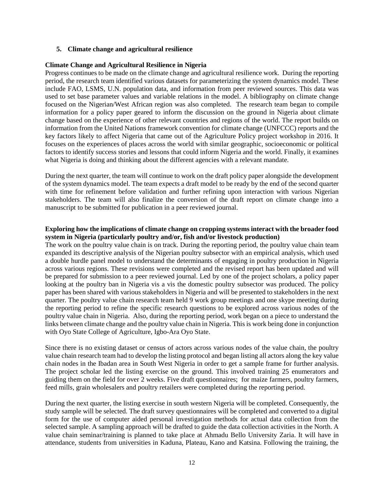#### **5. Climate change and agricultural resilience**

#### **Climate Change and Agricultural Resilience in Nigeria**

Progress continues to be made on the climate change and agricultural resilience work. During the reporting period, the research team identified various datasets for parameterizing the system dynamics model. These include FAO, LSMS, U.N. population data, and information from peer reviewed sources. This data was used to set base parameter values and variable relations in the model. A bibliography on climate change focused on the Nigerian/West African region was also completed. The research team began to compile information for a policy paper geared to inform the discussion on the ground in Nigeria about climate change based on the experience of other relevant countries and regions of the world. The report builds on information from the United Nations framework convention for climate change (UNFCCC) reports and the key factors likely to affect Nigeria that came out of the Agriculture Policy project workshop in 2016. It focuses on the experiences of places across the world with similar geographic, socioeconomic or political factors to identify success stories and lessons that could inform Nigeria and the world. Finally, it examines what Nigeria is doing and thinking about the different agencies with a relevant mandate.

During the next quarter, the team will continue to work on the draft policy paper alongside the development of the system dynamics model. The team expects a draft model to be ready by the end of the second quarter with time for refinement before validation and further refining upon interaction with various Nigerian stakeholders. The team will also finalize the conversion of the draft report on climate change into a manuscript to be submitted for publication in a peer reviewed journal.

#### **Exploring how the implications of climate change on cropping systems interact with the broader food system in Nigeria (particularly poultry and/or, fish and/or livestock production)**

The work on the poultry value chain is on track. During the reporting period, the poultry value chain team expanded its descriptive analysis of the Nigerian poultry subsector with an empirical analysis, which used a double hurdle panel model to understand the determinants of engaging in poultry production in Nigeria across various regions. These revisions were completed and the revised report has been updated and will be prepared for submission to a peer reviewed journal. Led by one of the project scholars, a policy paper looking at the poultry ban in Nigeria vis a vis the domestic poultry subsector was produced. The policy paper has been shared with various stakeholders in Nigeria and will be presented to stakeholders in the next quarter. The poultry value chain research team held 9 work group meetings and one skype meeting during the reporting period to refine the specific research questions to be explored across various nodes of the poultry value chain in Nigeria. Also, during the reporting period, work began on a piece to understand the links between climate change and the poultry value chain in Nigeria. This is work being done in conjunction with Oyo State College of Agriculture, Igbo-Ara Oyo State.

Since there is no existing dataset or census of actors across various nodes of the value chain, the poultry value chain research team had to develop the listing protocol and began listing all actors along the key value chain nodes in the Ibadan area in South West Nigeria in order to get a sample frame for further analysis. The project scholar led the listing exercise on the ground. This involved training 25 enumerators and guiding them on the field for over 2 weeks. Five draft questionnaires; for maize farmers, poultry farmers, feed mills, grain wholesalers and poultry retailers were completed during the reporting period.

During the next quarter, the listing exercise in south western Nigeria will be completed. Consequently, the study sample will be selected. The draft survey questionnaires will be completed and converted to a digital form for the use of computer aided personal investigation methods for actual data collection from the selected sample. A sampling approach will be drafted to guide the data collection activities in the North. A value chain seminar/training is planned to take place at Ahmadu Bello University Zaria. It will have in attendance, students from universities in Kaduna, Plateau, Kano and Katsina. Following the training, the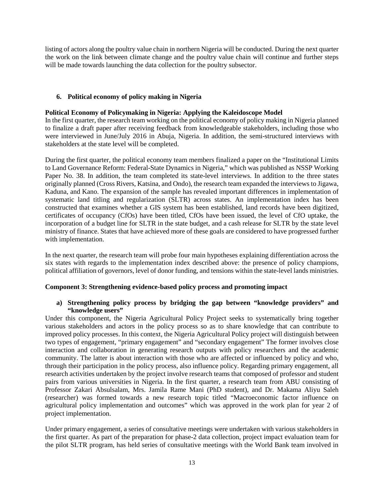listing of actors along the poultry value chain in northern Nigeria will be conducted. During the next quarter the work on the link between climate change and the poultry value chain will continue and further steps will be made towards launching the data collection for the poultry subsector.

#### **6. Political economy of policy making in Nigeria**

#### **Political Economy of Policymaking in Nigeria: Applying the Kaleidoscope Model**

In the first quarter, the research team working on the political economy of policy making in Nigeria planned to finalize a draft paper after receiving feedback from knowledgeable stakeholders, including those who were interviewed in June/July 2016 in Abuja, Nigeria. In addition, the semi-structured interviews with stakeholders at the state level will be completed.

During the first quarter, the political economy team members finalized a paper on the "Institutional Limits to Land Governance Reform: Federal-State Dynamics in Nigeria," which was published as NSSP Working Paper No. 38. In addition, the team completed its state-level interviews. In addition to the three states originally planned (Cross Rivers, Katsina, and Ondo), the research team expanded the interviews to Jigawa, Kaduna, and Kano. The expansion of the sample has revealed important differences in implementation of systematic land titling and regularization (SLTR) across states. An implementation index has been constructed that examines whether a GIS system has been established, land records have been digitized, certificates of occupancy (CfOs) have been titled, CfOs have been issued, the level of CfO uptake, the incorporation of a budget line for SLTR in the state budget, and a cash release for SLTR by the state level ministry of finance. States that have achieved more of these goals are considered to have progressed further with implementation.

In the next quarter, the research team will probe four main hypotheses explaining differentiation across the six states with regards to the implementation index described above: the presence of policy champions, political affiliation of governors, level of donor funding, and tensions within the state-level lands ministries.

#### **Component 3: Strengthening evidence-based policy process and promoting impact**

#### **a) Strengthening policy process by bridging the gap between "knowledge providers" and "knowledge users"**

Under this component, the Nigeria Agricultural Policy Project seeks to systematically bring together various stakeholders and actors in the policy process so as to share knowledge that can contribute to improved policy processes. In this context, the Nigeria Agricultural Policy project will distinguish between two types of engagement, "primary engagement" and "secondary engagement" The former involves close interaction and collaboration in generating research outputs with policy researchers and the academic community. The latter is about interaction with those who are affected or influenced by policy and who, through their participation in the policy process, also influence policy. Regarding primary engagement, all research activities undertaken by the project involve research teams that composed of professor and student pairs from various universities in Nigeria. In the first quarter, a research team from ABU consisting of Professor Zakari Absulsalam, Mrs. Jamila Rame Mani (PhD student), and Dr. Makama Aliyu Saleh (researcher) was formed towards a new research topic titled "Macroeconomic factor influence on agricultural policy implementation and outcomes" which was approved in the work plan for year 2 of project implementation.

Under primary engagement, a series of consultative meetings were undertaken with various stakeholders in the first quarter. As part of the preparation for phase-2 data collection, project impact evaluation team for the pilot SLTR program, has held series of consultative meetings with the World Bank team involved in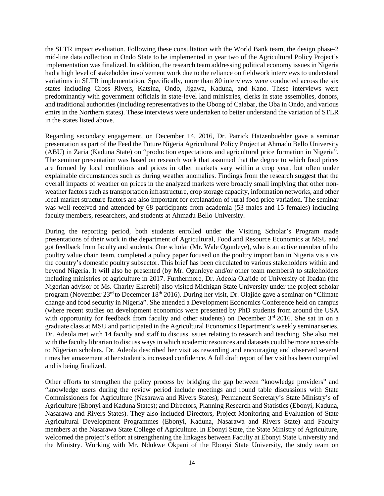the SLTR impact evaluation. Following these consultation with the World Bank team, the design phase-2 mid-line data collection in Ondo State to be implemented in year two of the Agricultural Policy Project's implementation was finalized. In addition, the research team addressing political economy issues in Nigeria had a high level of stakeholder involvement work due to the reliance on fieldwork interviews to understand variations in SLTR implementation. Specifically, more than 80 interviews were conducted across the six states including Cross Rivers, Katsina, Ondo, Jigawa, Kaduna, and Kano. These interviews were predominantly with government officials in state-level land ministries, clerks in state assemblies, donors, and traditional authorities (including representatives to the Obong of Calabar, the Oba in Ondo, and various emirs in the Northern states). These interviews were undertaken to better understand the variation of STLR in the states listed above.

Regarding secondary engagement, on December 14, 2016, Dr. Patrick Hatzenbuehler gave a seminar presentation as part of the Feed the Future Nigeria Agricultural Policy Project at Ahmadu Bello University (ABU) in Zaria (Kaduna State) on "production expectations and agricultural price formation in Nigeria". The seminar presentation was based on research work that assumed that the degree to which food prices are formed by local conditions and prices in other markets vary within a crop year, but often under explainable circumstances such as during weather anomalies. Findings from the research suggest that the overall impacts of weather on prices in the analyzed markets were broadly small implying that other nonweather factors such as transportation infrastructure, crop storage capacity, information networks, and other local market structure factors are also important for explanation of rural food price variation. The seminar was well received and attended by 68 participants from academia (53 males and 15 females) including faculty members, researchers, and students at Ahmadu Bello University.

During the reporting period, both students enrolled under the Visiting Scholar's Program made presentations of their work in the department of Agricultural, Food and Resource Economics at MSU and got feedback from faculty and students. One scholar (Mr. Wale Ogunleye), who is an active member of the poultry value chain team, completed a policy paper focused on the poultry import ban in Nigeria vis a vis the country's domestic poultry subsector. This brief has been circulated to various stakeholders within and beyond Nigeria. It will also be presented (by Mr. Ogunleye and/or other team members) to stakeholders including ministries of agriculture in 2017. Furthermore, Dr. Adeola Olajide of University of Ibadan (the Nigerian advisor of Ms. Charity Ekerebi) also visited Michigan State University under the project scholar program (November 23<sup>rd</sup> to December 18<sup>th</sup> 2016). During her visit, Dr. Olajide gave a seminar on "Climate" change and food security in Nigeria". She attended a Development Economics Conference held on campus (where recent studies on development economics were presented by PhD students from around the USA with opportunity for feedback from faculty and other students) on December 3<sup>rd</sup> 2016. She sat in on a graduate class at MSU and participated in the Agricultural Economics Department's weekly seminar series. Dr. Adeola met with 14 faculty and staff to discuss issues relating to research and teaching. She also met with the faculty librarian to discuss ways in which academic resources and datasets could be more accessible to Nigerian scholars. Dr. Adeola described her visit as rewarding and encouraging and observed several times her amazement at her student's increased confidence. A full draft report of her visit has been compiled and is being finalized.

Other efforts to strengthen the policy process by bridging the gap between "knowledge providers" and "knowledge users during the review period include meetings and round table discussions with State Commissioners for Agriculture (Nasarawa and Rivers States); Permanent Secretary's State Ministry's of Agriculture (Ebonyi and Kaduna States); and Directors, Planning Research and Statistics (Ebonyi, Kaduna, Nasarawa and Rivers States). They also included Directors, Project Monitoring and Evaluation of State Agricultural Development Programmes (Ebonyi, Kaduna, Nasarawa and Rivers State) and Faculty members at the Nasarawa State College of Agriculture. In Ebonyi State, the State Ministry of Agriculture, welcomed the project's effort at strengthening the linkages between Faculty at Ebonyi State University and the Ministry. Working with Mr. Ndukwe Okpani of the Ebonyi State University, the study team on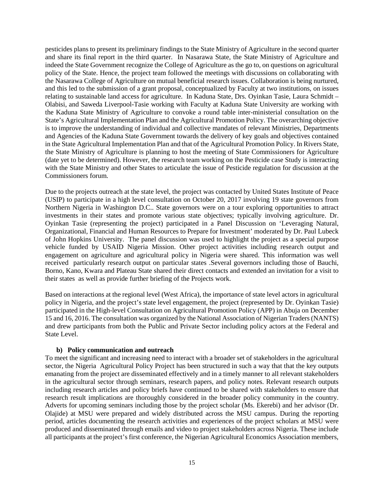pesticides plans to present its preliminary findings to the State Ministry of Agriculture in the second quarter and share its final report in the third quarter. In Nasarawa State, the State Ministry of Agriculture and indeed the State Government recognize the College of Agriculture as the go to, on questions on agricultural policy of the State. Hence, the project team followed the meetings with discussions on collaborating with the Nasarawa College of Agriculture on mutual beneficial research issues. Collaboration is being nurtured, and this led to the submission of a grant proposal, conceptualized by Faculty at two institutions, on issues relating to sustainable land access for agriculture. In Kaduna State, Drs. Oyinkan Tasie, Laura Schmidt – Olabisi, and Saweda Liverpool-Tasie working with Faculty at Kaduna State University are working with the Kaduna State Ministry of Agriculture to convoke a round table inter-ministerial consultation on the State's Agricultural Implementation Plan and the Agricultural Promotion Policy. The overarching objective is to improve the understanding of individual and collective mandates of relevant Ministries, Departments and Agencies of the Kaduna State Government towards the delivery of key goals and objectives contained in the State Agricultural Implementation Plan and that of the Agricultural Promotion Policy. In Rivers State, the State Ministry of Agriculture is planning to host the meeting of State Commissioners for Agriculture (date yet to be determined). However, the research team working on the Pesticide case Study is interacting with the State Ministry and other States to articulate the issue of Pesticide regulation for discussion at the Commissioners forum.

Due to the projects outreach at the state level, the project was contacted by United States Institute of Peace (USIP) to participate in a high level consultation on October 20, 2017 involving 19 state governors from Northern Nigeria in Washington D.C.. State governors were on a tour exploring opportunities to attract investments in their states and promote various state objectives; typically involving agriculture. Dr. Oyinkan Tasie (representing the project) participated in a Panel Discussion on 'Leveraging Natural, Organizational, Financial and Human Resources to Prepare for Investment' moderated by Dr. Paul Lubeck of John Hopkins University. The panel discussion was used to highlight the project as a special purpose vehicle funded by USAID Nigeria Mission. Other project activities including research output and engagement on agriculture and agricultural policy in Nigeria were shared. This information was well received particularly research output on particular states .Several governors including those of Bauchi, Borno, Kano, Kwara and Plateau State shared their direct contacts and extended an invitation for a visit to their states as well as provide further briefing of the Projects work.

Based on interactions at the regional level (West Africa), the importance of state level actors in agricultural policy in Nigeria, and the project's state level engagement, the project (represented by Dr. Oyinkan Tasie) participated in the High-level Consultation on Agricultural Promotion Policy (APP) in Abuja on December 15 and 16, 2016. The consultation was organized by the National Association of Nigerian Traders (NANTS) and drew participants from both the Public and Private Sector including policy actors at the Federal and State Level.

#### **b) Policy communication and outreach**

To meet the significant and increasing need to interact with a broader set of stakeholders in the agricultural sector, the Nigeria Agricultural Policy Project has been structured in such a way that that the key outputs emanating from the project are disseminated effectively and in a timely manner to all relevant stakeholders in the agricultural sector through seminars, research papers, and policy notes. Relevant research outputs including research articles and policy briefs have continued to be shared with stakeholders to ensure that research result implications are thoroughly considered in the broader policy community in the country. Adverts for upcoming seminars including those by the project scholar (Ms. Ekerebi) and her advisor (Dr. Olajide) at MSU were prepared and widely distributed across the MSU campus. During the reporting period, articles documenting the research activities and experiences of the project scholars at MSU were produced and disseminated through emails and video to project stakeholders across Nigeria. These include all participants at the project's first conference, the Nigerian Agricultural Economics Association members,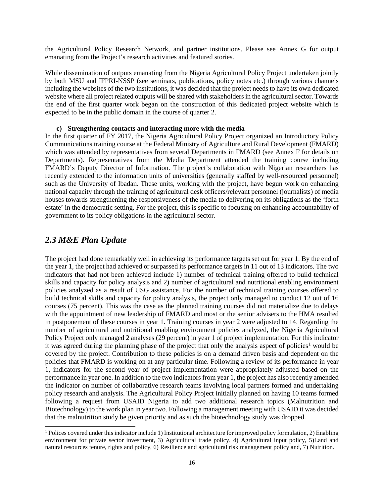the Agricultural Policy Research Network, and partner institutions. Please see Annex G for output emanating from the Project's research activities and featured stories.

While dissemination of outputs emanating from the Nigeria Agricultural Policy Project undertaken jointly by both MSU and IFPRI-NSSP (see seminars, publications, policy notes etc.) through various channels including the websites of the two institutions, it was decided that the project needs to have its own dedicated website where all project related outputs will be shared with stakeholders in the agricultural sector. Towards the end of the first quarter work began on the construction of this dedicated project website which is expected to be in the public domain in the course of quarter 2.

#### **c) Strengthening contacts and interacting more with the media**

In the first quarter of FY 2017, the Nigeria Agricultural Policy Project organized an Introductory Policy Communications training course at the Federal Ministry of Agriculture and Rural Development (FMARD) which was attended by representatives from several Departments in FMARD (see Annex F for details on Departments). Representatives from the Media Department attended the training course including FMARD's Deputy Director of Information. The project's collaboration with Nigerian researchers has recently extended to the information units of universities (generally staffed by well-resourced personnel) such as the University of Ibadan. These units, working with the project, have begun work on enhancing national capacity through the training of agricultural desk officers/relevant personnel (journalists) of media houses towards strengthening the responsiveness of the media to delivering on its obligations as the 'forth estate' in the democratic setting. For the project, this is specific to focusing on enhancing accountability of government to its policy obligations in the agricultural sector.

### <span id="page-15-0"></span>*2.3 M&E Plan Update*

The project had done remarkably well in achieving its performance targets set out for year 1. By the end of the year 1, the project had achieved or surpassed its performance targets in 11 out of 13 indicators. The two indicators that had not been achieved include 1) number of technical training offered to build technical skills and capacity for policy analysis and 2) number of agricultural and nutritional enabling environment policies analyzed as a result of USG assistance. For the number of technical training courses offered to build technical skills and capacity for policy analysis, the project only managed to conduct 12 out of 16 courses (75 percent). This was the case as the planned training courses did not materialize due to delays with the appointment of new leadership of FMARD and most or the senior advisers to the HMA resulted in postponement of these courses in year 1. Training courses in year 2 were adjusted to 14. Regarding the number of agricultural and nutritional enabling environment policies analyzed, the Nigeria Agricultural Policy Project only managed 2 analyses (29 percent) in year 1 of project implementation. For this indicator it was agreed during the planning phase of the project that only the analysis aspect of policies<sup>[1](#page-15-1)</sup> would be covered by the project. Contribution to these policies is on a demand driven basis and dependent on the policies that FMARD is working on at any particular time. Following a review of its performance in year 1, indicators for the second year of project implementation were appropriately adjusted based on the performance in year one. In addition to the two indicators from year 1, the project has also recently amended the indicator on number of collaborative research teams involving local partners formed and undertaking policy research and analysis. The Agricultural Policy Project initially planned on having 10 teams formed following a request from USAID Nigeria to add two additional research topics (Malnutrition and Biotechnology) to the work plan in year two. Following a management meeting with USAID it was decided that the malnutrition study be given priority and as such the biotechnology study was dropped.

<span id="page-15-1"></span><sup>&</sup>lt;sup>1</sup> Polices covered under this indicator include 1) Institutional architecture for improved policy formulation, 2) Enabling environment for private sector investment, 3) Agricultural trade policy, 4) Agricultural input policy, 5)Land and natural resources tenure, rights and policy, 6) Resilience and agricultural risk management policy and, 7) Nutrition.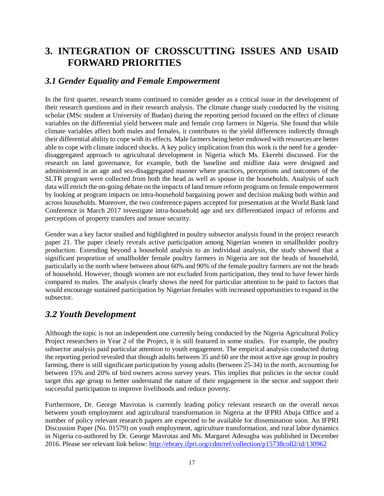# <span id="page-16-0"></span>**3. INTEGRATION OF CROSSCUTTING ISSUES AND USAID FORWARD PRIORITIES**

### <span id="page-16-1"></span>*3.1 Gender Equality and Female Empowerment*

In the first quarter, research teams continued to consider gender as a critical issue in the development of their research questions and in their research analysis. The climate change study conducted by the visiting scholar (MSc student at University of Ibadan) during the reporting period focused on the effect of climate variables on the differential yield between male and female crop farmers in Nigeria. She found that while climate variables affect both males and females, it contributes to the yield differences indirectly through their differential ability to cope with its effects. Male farmers being better endowed with resources are better able to cope with climate induced shocks. A key policy implication from this work is the need for a gender‐ disaggregated approach to agricultural development in Nigeria which Ms. Ekerebi discussed. For the research on land governance, for example, both the baseline and midline data were designed and administered in an age and sex-disaggregated manner where practices, perceptions and outcomes of the SLTR program were collected from both the head as well as spouse in the households. Analysis of such data will enrich the on-going debate on the impacts of land tenure reform programs on female empowerment by looking at program impacts on intra-household bargaining power and decision making both within and across households. Moreover, the two conference papers accepted for presentation at the World Bank land Conference in March 2017 investigate intra-household age and sex differentiated impact of reforms and perceptions of property transfers and tenure security.

Gender was a key factor studied and highlighted in poultry subsector analysis found in the project research paper 21. The paper clearly reveals active participation among Nigerian women in smallholder poultry production. Extending beyond a household analysis to an individual analysis, the study showed that a significant proportion of smallholder female poultry farmers in Nigeria are not the heads of household, particularly in the north where between about 60% and 90% of the female poultry farmers are not the heads of household. However, though women are not excluded from participation, they tend to have fewer birds compared to males. The analysis clearly shows the need for particular attention to be paid to factors that would encourage sustained participation by Nigerian females with increased opportunities to expand in the subsector.

### <span id="page-16-2"></span>*3.2 Youth Development*

Although the topic is not an independent one currently being conducted by the Nigeria Agricultural Policy Project researchers in Year 2 of the Project, it is still featured in some studies. For example, the poultry subsector analysis paid particular attention to youth engagement. The empirical analysis conducted during the reporting period revealed that though adults between 35 and 60 are the most active age group in poultry farming, there is still significant participation by young adults (between 25-34) in the north, accounting for between 15% and 20% of bird owners across survey years. This implies that policies in the sector could target this age group to better understand the nature of their engagement in the sector and support their successful participation to improve livelihoods and reduce poverty.

Furthermore, Dr. George Mavrotas is currently leading policy relevant research on the overall nexus between youth employment and agricultural transformation in Nigeria at the IFPRI Abuja Office and a number of policy relevant research papers are expected to be available for dissemination soon. An IFPRI Discussion Paper (No. 01579) on youth employment, agriculture transformation, and rural labor dynamics in Nigeria co-authored by Dr. George Mavrotas and Ms. Margaret Adesugba was published in December 2016. Please see relevant link below:<http://ebrary.ifpri.org/cdm/ref/collection/p15738coll2/id/130962>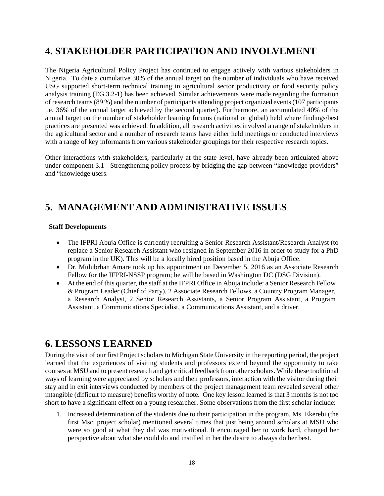# <span id="page-17-0"></span>**4. STAKEHOLDER PARTICIPATION AND INVOLVEMENT**

The Nigeria Agricultural Policy Project has continued to engage actively with various stakeholders in Nigeria. To date a cumulative 30% of the annual target on the number of individuals who have received USG supported short-term technical training in agricultural sector productivity or food security policy analysis training (EG.3.2-1) has been achieved. Similar achievements were made regarding the formation of research teams(89 %) and the number of participants attending project organized events(107 participants i.e. 36% of the annual target achieved by the second quarter). Furthermore, an accumulated 40% of the annual target on the number of stakeholder learning forums (national or global) held where findings/best practices are presented was achieved. In addition, all research activities involved a range of stakeholders in the agricultural sector and a number of research teams have either held meetings or conducted interviews with a range of key informants from various stakeholder groupings for their respective research topics.

Other interactions with stakeholders, particularly at the state level, have already been articulated above under component 3.1 - Strengthening policy process by bridging the gap between "knowledge providers" and "knowledge users.

# <span id="page-17-1"></span>**5. MANAGEMENT AND ADMINISTRATIVE ISSUES**

#### **Staff Developments**

- The IFPRI Abuja Office is currently recruiting a Senior Research Assistant/Research Analyst (to replace a Senior Research Assistant who resigned in September 2016 in order to study for a PhD program in the UK). This will be a locally hired position based in the Abuja Office.
- Dr. Mulubrhan Amare took up his appointment on December 5, 2016 as an Associate Research Fellow for the IFPRI-NSSP program; he will be based in Washington DC (DSG Division).
- At the end of this quarter, the staff at the IFPRI Office in Abuja include: a Senior Research Fellow & Program Leader (Chief of Party), 2 Associate Research Fellows, a Country Program Manager, a Research Analyst, 2 Senior Research Assistants, a Senior Program Assistant, a Program Assistant, a Communications Specialist, a Communications Assistant, and a driver.

# <span id="page-17-2"></span>**6. LESSONS LEARNED**

During the visit of our first Project scholars to Michigan State University in the reporting period, the project learned that the experiences of visiting students and professors extend beyond the opportunity to take courses at MSU and to present research and get critical feedback from other scholars. While these traditional ways of learning were appreciated by scholars and their professors, interaction with the visitor during their stay and in exit interviews conducted by members of the project management team revealed several other intangible (difficult to measure) benefits worthy of note. One key lesson learned is that 3 months is not too short to have a significant effect on a young researcher. Some observations from the first scholar include:

1. Increased determination of the students due to their participation in the program. Ms. Ekerebi (the first Msc. project scholar) mentioned several times that just being around scholars at MSU who were so good at what they did was motivational. It encouraged her to work hard, changed her perspective about what she could do and instilled in her the desire to always do her best.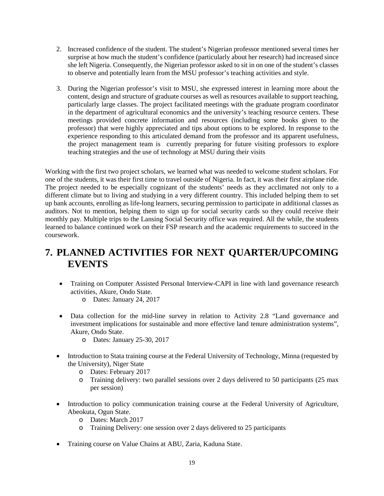- 2. Increased confidence of the student. The student's Nigerian professor mentioned several times her surprise at how much the student's confidence (particularly about her research) had increased since she left Nigeria. Consequently, the Nigerian professor asked to sit in on one of the student's classes to observe and potentially learn from the MSU professor's teaching activities and style.
- 3. During the Nigerian professor's visit to MSU, she expressed interest in learning more about the content, design and structure of graduate courses as well as resources available to support teaching, particularly large classes. The project facilitated meetings with the graduate program coordinator in the department of agricultural economics and the university's teaching resource centers. These meetings provided concrete information and resources (including some books given to the professor) that were highly appreciated and tips about options to be explored. In response to the experience responding to this articulated demand from the professor and its apparent usefulness, the project management team is currently preparing for future visiting professors to explore teaching strategies and the use of technology at MSU during their visits

Working with the first two project scholars, we learned what was needed to welcome student scholars. For one of the students, it was their first time to travel outside of Nigeria. In fact, it was their first airplane ride. The project needed to be especially cognizant of the students' needs as they acclimated not only to a different climate but to living and studying in a very different country. This included helping them to set up bank accounts, enrolling as life-long learners, securing permission to participate in additional classes as auditors. Not to mention, helping them to sign up for social security cards so they could receive their monthly pay. Multiple trips to the Lansing Social Security office was required. All the while, the students learned to balance continued work on their FSP research and the academic requirements to succeed in the coursework.

# <span id="page-18-0"></span>**7. PLANNED ACTIVITIES FOR NEXT QUARTER/UPCOMING EVENTS**

- Training on Computer Assisted Personal Interview-CAPI in line with land governance research activities, Akure, Ondo State.
	- o Dates: January 24, 2017
- Data collection for the mid-line survey in relation to Activity 2.8 "Land governance and investment implications for sustainable and more effective land tenure administration systems", Akure, Ondo State.
	- o Dates: January 25-30, 2017
- Introduction to Stata training course at the Federal University of Technology, Minna (requested by the University), Niger State
	- o Dates: February 2017
	- o Training delivery: two parallel sessions over 2 days delivered to 50 participants (25 max per session)
- Introduction to policy communication training course at the Federal University of Agriculture, Abeokuta, Ogun State.
	- o Dates: March 2017
	- o Training Delivery: one session over 2 days delivered to 25 participants
- Training course on Value Chains at ABU, Zaria, Kaduna State.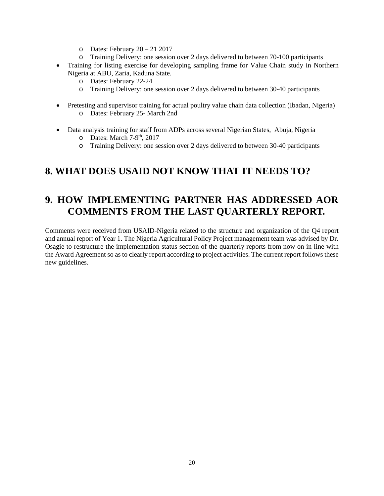- o Dates: February 20 21 2017
- o Training Delivery: one session over 2 days delivered to between 70-100 participants
- Training for listing exercise for developing sampling frame for Value Chain study in Northern Nigeria at ABU, Zaria, Kaduna State.
	- o Dates: February 22-24
	- o Training Delivery: one session over 2 days delivered to between 30-40 participants
- Pretesting and supervisor training for actual poultry value chain data collection (Ibadan, Nigeria) o Dates: February 25- March 2nd
- Data analysis training for staff from ADPs across several Nigerian States, Abuja, Nigeria
	- $O$  Dates: March 7-9<sup>th</sup>, 2017
	- o Training Delivery: one session over 2 days delivered to between 30-40 participants

## <span id="page-19-0"></span>**8. WHAT DOES USAID NOT KNOW THAT IT NEEDS TO?**

# <span id="page-19-1"></span>**9. HOW IMPLEMENTING PARTNER HAS ADDRESSED AOR COMMENTS FROM THE LAST QUARTERLY REPORT.**

Comments were received from USAID-Nigeria related to the structure and organization of the Q4 report and annual report of Year 1. The Nigeria Agricultural Policy Project management team was advised by Dr. Osagie to restructure the implementation status section of the quarterly reports from now on in line with the Award Agreement so as to clearly report according to project activities. The current report follows these new guidelines.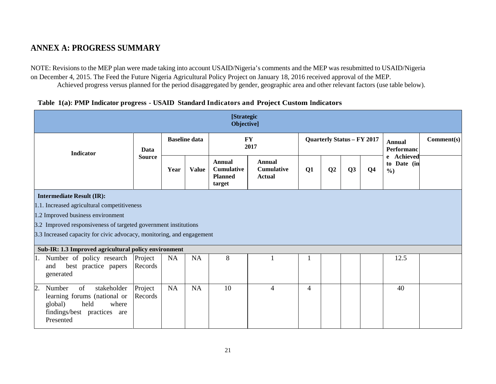### **ANNEX A: PROGRESS SUMMARY**

NOTE: Revisions to the MEP plan were made taking into account USAID/Nigeria's comments and the MEP was resubmitted to USAID/Nigeria on December 4, 2015. The Feed the Future Nigeria Agricultural Policy Project on January 18, 2016 received approval of the MEP. Achieved progress versus planned for the period disaggregated by gender, geographic area and other relevant factors (use table below).

<span id="page-20-0"></span>

|                                                                                                                                                         |                                                                                                                                                                                         |      |                      | <b>[Strategic</b><br>Objective]                         |                                              |                                   |    |    |                |                                            |            |
|---------------------------------------------------------------------------------------------------------------------------------------------------------|-----------------------------------------------------------------------------------------------------------------------------------------------------------------------------------------|------|----------------------|---------------------------------------------------------|----------------------------------------------|-----------------------------------|----|----|----------------|--------------------------------------------|------------|
| <b>Indicator</b>                                                                                                                                        | Data                                                                                                                                                                                    |      | <b>Baseline data</b> | <b>FY</b><br>2017                                       |                                              | <b>Quarterly Status - FY 2017</b> |    |    |                | <b>Annual</b><br>Performanc                | Comment(s) |
|                                                                                                                                                         | <b>Source</b>                                                                                                                                                                           | Year | <b>Value</b>         | Annual<br><b>Cumulative</b><br><b>Planned</b><br>target | Annual<br><b>Cumulative</b><br><b>Actual</b> | Q1                                | Q2 | Q3 | Q <sub>4</sub> | e Achieved<br>to Date (in<br>$\frac{6}{2}$ |            |
| <b>Intermediate Result (IR):</b><br>1.2 Improved business environment                                                                                   | 1.1. Increased agricultural competitiveness<br>3.2 Improved responsiveness of targeted government institutions<br>3.3 Increased capacity for civic advocacy, monitoring, and engagement |      |                      |                                                         |                                              |                                   |    |    |                |                                            |            |
| Sub-IR: 1.3 Improved agricultural policy environment<br>1. Number of policy research<br>best practice papers<br>and<br>generated                        | Project<br>Records                                                                                                                                                                      | NA   | NA                   | 8                                                       |                                              |                                   |    |    |                | 12.5                                       |            |
| of<br>$\overline{2}$ .<br>Number<br>stakeholder<br>learning forums (national or<br>global)<br>held<br>where<br>findings/best practices are<br>Presented | Project<br>Records                                                                                                                                                                      | NA   | NA                   | 10                                                      | 4                                            | $\overline{4}$                    |    |    |                | 40                                         |            |

#### **Table 1(a): PMP Indicator progress - USAID Standard Indicators and Project Custom Indicators**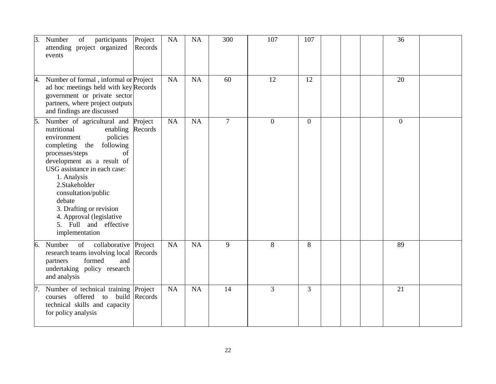| 3. | participants<br>Number<br>of<br>attending project organized<br>events                                                                                                                                                                                                                                                                                                                     | Project<br>Records | NA | NA        | 300             | 107              | 107            |  | 36             |  |
|----|-------------------------------------------------------------------------------------------------------------------------------------------------------------------------------------------------------------------------------------------------------------------------------------------------------------------------------------------------------------------------------------------|--------------------|----|-----------|-----------------|------------------|----------------|--|----------------|--|
| 4. | Number of formal, informal or Project<br>ad hoc meetings held with key Records<br>government or private sector<br>partners, where project outputs<br>and findings are discussed                                                                                                                                                                                                           |                    | NA | <b>NA</b> | 60              | 12               | 12             |  | 20             |  |
| 5. | Number of agricultural and Project<br>nutritional<br>enabling Records<br>policies<br>environment<br>completing the<br>following<br>processes/steps<br>of<br>development as a result of<br>USG assistance in each case:<br>1. Analysis<br>2.Stakeholder<br>consultation/public<br>debate<br>3. Drafting or revision<br>4. Approval (legislative<br>5. Full and effective<br>implementation |                    | NA | NA        | $7\overline{ }$ | $\boldsymbol{0}$ | $\overline{0}$ |  | $\overline{0}$ |  |
| 6. | of<br>collaborative Project<br>Number<br>research teams involving local<br>formed<br>and<br>partners<br>undertaking policy research<br>and analysis                                                                                                                                                                                                                                       | Records            | NA | <b>NA</b> | 9               | 8                | 8              |  | 89             |  |
|    | 7. Number of technical training Project<br>offered to build Records<br>courses<br>technical skills and capacity<br>for policy analysis                                                                                                                                                                                                                                                    |                    | NA | NA        | 14              | 3                | $\overline{3}$ |  | 21             |  |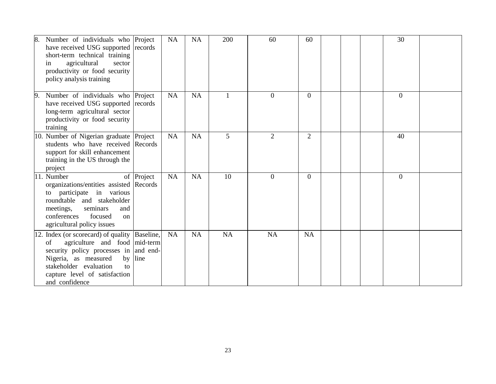| Number of individuals who Project<br>8.<br>have received USG supported records<br>short-term technical training<br>agricultural<br>sector<br>in<br>productivity or food security<br>policy analysis training                                             |            | <b>NA</b> | <b>NA</b> | 200 | 60             | 60             |  | 30             |  |
|----------------------------------------------------------------------------------------------------------------------------------------------------------------------------------------------------------------------------------------------------------|------------|-----------|-----------|-----|----------------|----------------|--|----------------|--|
| Number of individuals who Project<br>19.<br>have received USG supported records<br>long-term agricultural sector<br>productivity or food security<br>training                                                                                            |            | NA        | NA        |     | $\overline{0}$ | $\overline{0}$ |  | $\overline{0}$ |  |
| 10. Number of Nigerian graduate Project<br>students who have received Records<br>support for skill enhancement<br>training in the US through the<br>project                                                                                              |            | <b>NA</b> | <b>NA</b> | 5   | $\overline{2}$ | $\overline{2}$ |  | 40             |  |
| 11. Number<br>organizations/entities assisted Records<br>participate in various<br>to<br>roundtable and stakeholder<br>seminars<br>meetings,<br>and<br>focused<br>conferences<br><sub>on</sub><br>agricultural policy issues                             | of Project | <b>NA</b> | <b>NA</b> | 10  | $\overline{0}$ | $\overline{0}$ |  | $\overline{0}$ |  |
| 12. Index (or scorecard) of quality Baseline,<br>agriculture and food mid-term<br>of<br>security policy processes in and end-<br>Nigeria, as measured<br>by<br>stakeholder evaluation<br>$\mathsf{f}$<br>capture level of satisfaction<br>and confidence | line       | <b>NA</b> | <b>NA</b> | NA  | <b>NA</b>      | <b>NA</b>      |  |                |  |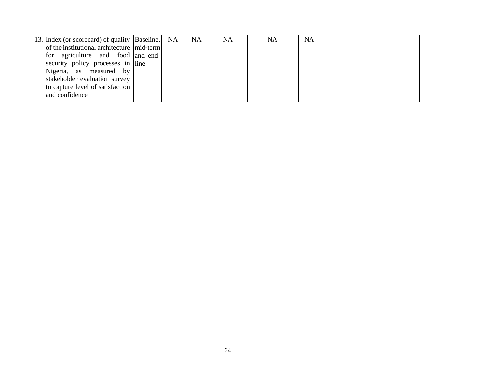| [13. Index (or scorecard) of quality [Baseline,] NA |  | <b>NA</b> | <b>NA</b> | NA | <b>NA</b> |  |  |  |
|-----------------------------------------------------|--|-----------|-----------|----|-----------|--|--|--|
| of the institutional architecture   mid-term        |  |           |           |    |           |  |  |  |
| for agriculture and food and end-                   |  |           |           |    |           |  |  |  |
| security policy processes in line                   |  |           |           |    |           |  |  |  |
| Nigeria, as measured by                             |  |           |           |    |           |  |  |  |
| stakeholder evaluation survey                       |  |           |           |    |           |  |  |  |
| to capture level of satisfaction                    |  |           |           |    |           |  |  |  |
| and confidence                                      |  |           |           |    |           |  |  |  |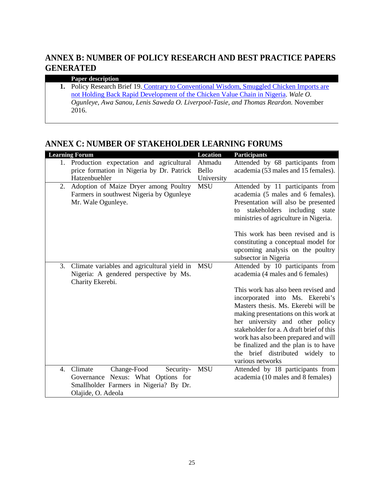### <span id="page-24-0"></span>**ANNEX B: NUMBER OF POLICY RESEARCH AND BEST PRACTICE PAPERS GENERATED**

#### **Paper description**

**1.** Policy Research Brief 19. [Contrary to Conventional Wisdom, Smuggled Chicken Imports are](http://foodsecuritypolicy.msu.edu/resources/contrary_to_conventional_wisdom_smuggled_chicken_imports_are_not_holding_ba)  [not Holding Back Rapid Development of the Chicken Value Chain in Nigeria.](http://foodsecuritypolicy.msu.edu/resources/contrary_to_conventional_wisdom_smuggled_chicken_imports_are_not_holding_ba) *Wale O. Ogunleye, Awa Sanou, Lenis Saweda O. Liverpool-Tasie, and Thomas Reardon.* November 2016.

### <span id="page-24-1"></span>**ANNEX C: NUMBER OF STAKEHOLDER LEARNING FORUMS**

| <b>Learning Forum</b>                             | <b>Location</b> | <b>Participants</b>                                      |
|---------------------------------------------------|-----------------|----------------------------------------------------------|
| 1. Production expectation and agricultural        | Ahmadu          | Attended by 68 participants from                         |
| price formation in Nigeria by Dr. Patrick         | Bello           | academia (53 males and 15 females).                      |
| Hatzenbuehler                                     | University      |                                                          |
| Adoption of Maize Dryer among Poultry<br>2.       | <b>MSU</b>      | Attended by 11 participants from                         |
| Farmers in southwest Nigeria by Ogunleye          |                 | academia (5 males and 6 females).                        |
| Mr. Wale Ogunleye.                                |                 | Presentation will also be presented                      |
|                                                   |                 | stakeholders<br>including<br>state<br>to                 |
|                                                   |                 | ministries of agriculture in Nigeria.                    |
|                                                   |                 |                                                          |
|                                                   |                 | This work has been revised and is                        |
|                                                   |                 | constituting a conceptual model for                      |
|                                                   |                 | upcoming analysis on the poultry                         |
| 3.<br>Climate variables and agricultural yield in | <b>MSU</b>      | subsector in Nigeria<br>Attended by 10 participants from |
| Nigeria: A gendered perspective by Ms.            |                 | academia (4 males and 6 females)                         |
| Charity Ekerebi.                                  |                 |                                                          |
|                                                   |                 | This work has also been revised and                      |
|                                                   |                 | incorporated into Ms. Ekerebi's                          |
|                                                   |                 | Masters thesis. Ms. Ekerebi will be                      |
|                                                   |                 | making presentations on this work at                     |
|                                                   |                 | her university and other policy                          |
|                                                   |                 | stakeholder for a. A draft brief of this                 |
|                                                   |                 | work has also been prepared and will                     |
|                                                   |                 | be finalized and the plan is to have                     |
|                                                   |                 | the brief distributed widely to                          |
|                                                   |                 | various networks                                         |
| Climate<br>Change-Food<br>Security-<br>4.         | <b>MSU</b>      | Attended by 18 participants from                         |
| Governance Nexus: What Options for                |                 | academia (10 males and 8 females)                        |
| Smallholder Farmers in Nigeria? By Dr.            |                 |                                                          |
| Olajide, O. Adeola                                |                 |                                                          |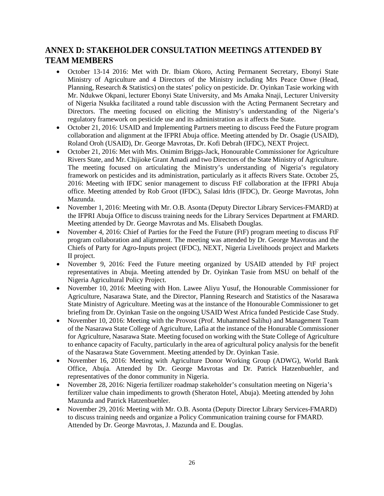### <span id="page-25-0"></span>**ANNEX D: STAKEHOLDER CONSULTATION MEETINGS ATTENDED BY TEAM MEMBERS**

- October 13-14 2016: Met with Dr. Ibiam Okoro, Acting Permanent Secretary, Ebonyi State Ministry of Agriculture and 4 Directors of the Ministry including Mrs Peace Onwe (Head, Planning, Research & Statistics) on the states' policy on pesticide. Dr. Oyinkan Tasie working with Mr. Ndukwe Okpani, lecturer Ebonyi State University, and Ms Amaka Nnaji, Lecturer University of Nigeria Nsukka facilitated a round table discussion with the Acting Permanent Secretary and Directors. The meeting focused on eliciting the Ministry's understanding of the Nigeria's regulatory framework on pesticide use and its administration as it affects the State.
- October 21, 2016: USAID and Implementing Partners meeting to discuss Feed the Future program collaboration and alignment at the IFPRI Abuja office. Meeting attended by Dr. Osagie (USAID), Roland Oroh (USAID), Dr. George Mavrotas, Dr. Kofi Debrah (IFDC), NEXT Project.
- October 21, 2016: Met with Mrs. Onimim Briggs-Jack, Honourable Commissioner for Agriculture Rivers State, and Mr. Chijioke Grant Amadi and two Directors of the State Ministry of Agriculture. The meeting focused on articulating the Ministry's understanding of Nigeria's regulatory framework on pesticides and its administration, particularly as it affects Rivers State. October 25, 2016: Meeting with IFDC senior management to discuss FtF collaboration at the IFPRI Abuja office. Meeting attended by Rob Groot (IFDC), Salasi Idris (IFDC), Dr. George Mavrotas, John Mazunda.
- November 1, 2016: Meeting with Mr. O.B. Asonta (Deputy Director Library Services-FMARD) at the IFPRI Abuja Office to discuss training needs for the Library Services Department at FMARD. Meeting attended by Dr. George Mavrotas and Ms. Elisabeth Douglas.
- November 4, 2016: Chief of Parties for the Feed the Future (FtF) program meeting to discuss FtF program collaboration and alignment. The meeting was attended by Dr. George Mavrotas and the Chiefs of Party for Agro-Inputs project (IFDC), NEXT, Nigeria Livelihoods project and Markets II project.
- November 9, 2016: Feed the Future meeting organized by USAID attended by FtF project representatives in Abuja. Meeting attended by Dr. Oyinkan Tasie from MSU on behalf of the Nigeria Agricultural Policy Project.
- November 10, 2016: Meeting with Hon. Lawee Aliyu Yusuf, the Honourable Commissioner for Agriculture, Nasarawa State, and the Director, Planning Research and Statistics of the Nasarawa State Ministry of Agriculture. Meeting was at the instance of the Honourable Commissioner to get briefing from Dr. Oyinkan Tasie on the ongoing USAID West Africa funded Pesticide Case Study.
- November 10, 2016: Meeting with the Provost (Prof. Muhammed Salihu) and Management Team of the Nasarawa State College of Agriculture, Lafia at the instance of the Honurable Commissioner for Agriculture, Nasarawa State. Meeting focused on working with the State College of Agriculture to enhance capacity of Faculty, particularly in the area of agricultural policy analysis for the benefit of the Nasarawa State Government. Meeting attended by Dr. Oyinkan Tasie.
- November 16, 2016: Meeting with Agriculture Donor Working Group (ADWG), World Bank Office, Abuja. Attended by Dr. George Mavrotas and Dr. Patrick Hatzenbuehler, and representatives of the donor community in Nigeria.
- November 28, 2016: Nigeria fertilizer roadmap stakeholder's consultation meeting on Nigeria's fertilizer value chain impediments to growth (Sheraton Hotel, Abuja). Meeting attended by John Mazunda and Patrick Hatzenbuehler.
- November 29, 2016: Meeting with Mr. O.B. Asonta (Deputy Director Library Services-FMARD) to discuss training needs and organize a Policy Communication training course for FMARD. Attended by Dr. George Mavrotas, J. Mazunda and E. Douglas.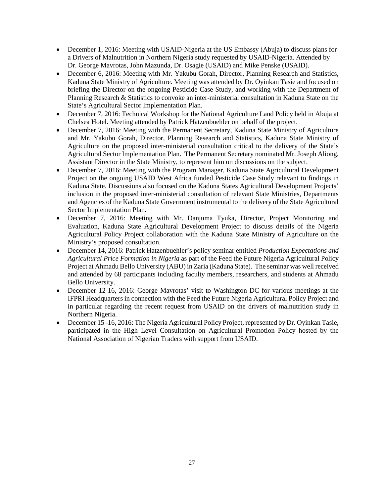- December 1, 2016: Meeting with USAID-Nigeria at the US Embassy (Abuja) to discuss plans for a Drivers of Malnutrition in Northern Nigeria study requested by USAID-Nigeria. Attended by Dr. George Mavrotas, John Mazunda, Dr. Osagie (USAID) and Mike Penske (USAID).
- December 6, 2016: Meeting with Mr. Yakubu Gorah, Director, Planning Research and Statistics, Kaduna State Ministry of Agriculture. Meeting was attended by Dr. Oyinkan Tasie and focused on briefing the Director on the ongoing Pesticide Case Study, and working with the Department of Planning Research & Statistics to convoke an inter-ministerial consultation in Kaduna State on the State's Agricultural Sector Implementation Plan.
- December 7, 2016: Technical Workshop for the National Agriculture Land Policy held in Abuja at Chelsea Hotel. Meeting attended by Patrick Hatzenbuehler on behalf of the project.
- December 7, 2016: Meeting with the Permanent Secretary, Kaduna State Ministry of Agriculture and Mr. Yakubu Gorah, Director, Planning Research and Statistics, Kaduna State Ministry of Agriculture on the proposed inter-ministerial consultation critical to the delivery of the State's Agricultural Sector Implementation Plan. The Permanent Secretary nominated Mr. Joseph Aliong, Assistant Director in the State Ministry, to represent him on discussions on the subject.
- December 7, 2016: Meeting with the Program Manager, Kaduna State Agricultural Development Project on the ongoing USAID West Africa funded Pesticide Case Study relevant to findings in Kaduna State. Discussions also focused on the Kaduna States Agricultural Development Projects' inclusion in the proposed inter-ministerial consultation of relevant State Ministries, Departments and Agencies of the Kaduna State Government instrumental to the delivery of the State Agricultural Sector Implementation Plan.
- December 7, 2016: Meeting with Mr. Danjuma Tyuka, Director, Project Monitoring and Evaluation, Kaduna State Agricultural Development Project to discuss details of the Nigeria Agricultural Policy Project collaboration with the Kaduna State Ministry of Agriculture on the Ministry's proposed consultation.
- December 14, 2016: Patrick Hatzenbuehler's policy seminar entitled *Production Expectations and Agricultural Price Formation in Nigeria* as part of the Feed the Future Nigeria Agricultural Policy Project at Ahmadu Bello University (ABU) in Zaria (Kaduna State). The seminar was well received and attended by 68 participants including faculty members, researchers, and students at Ahmadu Bello University.
- December 12-16, 2016: George Mavrotas' visit to Washington DC for various meetings at the IFPRI Headquarters in connection with the Feed the Future Nigeria Agricultural Policy Project and in particular regarding the recent request from USAID on the drivers of malnutrition study in Northern Nigeria.
- December 15 -16, 2016: The Nigeria Agricultural Policy Project, represented by Dr. Oyinkan Tasie, participated in the High Level Consultation on Agricultural Promotion Policy hosted by the National Association of Nigerian Traders with support from USAID.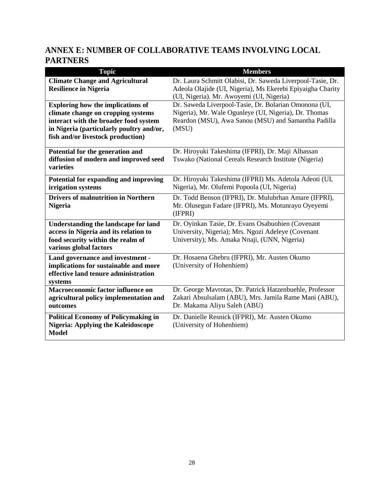# <span id="page-27-0"></span>**ANNEX E: NUMBER OF COLLABORATIVE TEAMS INVOLVING LOCAL PARTNERS**

| <b>Topic</b>                                                                             | <b>Members</b>                                                                                              |
|------------------------------------------------------------------------------------------|-------------------------------------------------------------------------------------------------------------|
| <b>Climate Change and Agricultural</b>                                                   | Dr. Laura Schmitt Olabisi, Dr. Saweda Liverpool-Tasie, Dr.                                                  |
| <b>Resilience in Nigeria</b>                                                             | Adeola Olajide (UI, Nigeria), Ms Ekerebi Epiyaigha Charity                                                  |
|                                                                                          | (UI, Nigeria). Mr. Awoyemi (UI, Nigeria)                                                                    |
| <b>Exploring how the implications of</b>                                                 | Dr. Saweda Liverpool-Tasie, Dr. Bolarian Omonona (UI,                                                       |
| climate change on cropping systems                                                       | Nigeria), Mr. Wale Ogunleye (UI, Nigeria), Dr. Thomas                                                       |
| interact with the broader food system                                                    | Reardon (MSU), Awa Sanou (MSU) and Samantha Padilla                                                         |
| in Nigeria (particularly poultry and/or,                                                 | (MSU)                                                                                                       |
| fish and/or livestock production)                                                        |                                                                                                             |
| Potential for the generation and                                                         | Dr. Hiroyuki Takeshima (IFPRI), Dr. Maji Alhassan                                                           |
| diffusion of modern and improved seed                                                    | Tswako (National Cereals Research Institute (Nigeria)                                                       |
| varieties                                                                                |                                                                                                             |
| Potential for expanding and improving                                                    | Dr. Hiroyuki Takeshima (IFPRI) Ms. Adetola Adeoti (UI,                                                      |
| irrigation systems                                                                       | Nigeria), Mr. Olufemi Popoola (UI, Nigeria)                                                                 |
| <b>Drivers of malnutrition in Northern</b>                                               |                                                                                                             |
| <b>Nigeria</b>                                                                           | Dr. Todd Benson (IFPRI), Dr. Mulubrhan Amare (IFPRI),<br>Mr. Olusegun Fadare (IFPRI), Ms. Motunrayo Oyeyemi |
|                                                                                          | (IFPRI)                                                                                                     |
|                                                                                          |                                                                                                             |
| <b>Understanding the landscape for land</b>                                              | Dr. Oyinkan Tasie, Dr. Evans Osabuohien (Covenant                                                           |
| access in Nigeria and its relation to<br>food security within the realm of               | University, Nigeria); Mrs. Ngozi Adeleye (Covenant<br>University); Ms. Amaka Nnaji, (UNN, Nigeria)          |
| various global factors                                                                   |                                                                                                             |
|                                                                                          |                                                                                                             |
| Land governance and investment -                                                         | Dr. Hosaena Ghebru (IFPRI), Mr. Austen Okumo                                                                |
| implications for sustainable and more<br>effective land tenure administration            | (University of Hohenhiem)                                                                                   |
| systems                                                                                  |                                                                                                             |
| <b>Macroeconomic factor influence on</b>                                                 | Dr. George Mavrotas, Dr. Patrick Hatzenbuehle, Professor                                                    |
| agricultural policy implementation and                                                   | Zakari Absulsalam (ABU), Mrs. Jamila Rame Mani (ABU),                                                       |
| outcomes                                                                                 | Dr. Makama Aliyu Saleh (ABU)                                                                                |
|                                                                                          | Dr. Danielle Resnick (IFPRI), Mr. Austen Okumo                                                              |
| <b>Political Economy of Policymaking in</b><br><b>Nigeria: Applying the Kaleidoscope</b> | (University of Hohenhiem)                                                                                   |
| <b>Model</b>                                                                             |                                                                                                             |
|                                                                                          |                                                                                                             |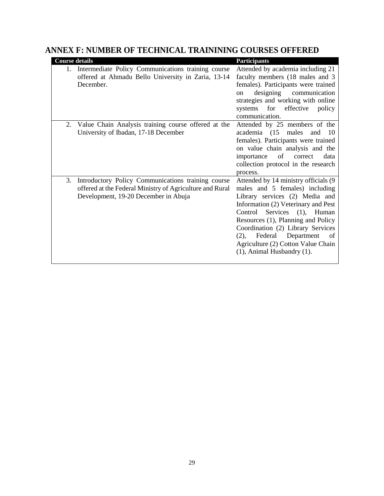| <b>Course details</b>                                                                                                                                        | <b>Participants</b>                                                                                                                                                                                                                                                                                                                                                           |
|--------------------------------------------------------------------------------------------------------------------------------------------------------------|-------------------------------------------------------------------------------------------------------------------------------------------------------------------------------------------------------------------------------------------------------------------------------------------------------------------------------------------------------------------------------|
| Intermediate Policy Communications training course<br>$1_{-}$<br>offered at Ahmadu Bello University in Zaria, 13-14<br>December.                             | Attended by academia including 21<br>faculty members (18 males and 3<br>females). Participants were trained<br>designing communication<br><sub>on</sub><br>strategies and working with online<br>for effective<br>systems<br>policy<br>communication.                                                                                                                         |
| Value Chain Analysis training course offered at the<br>2.<br>University of Ibadan, 17-18 December                                                            | Attended by 25 members of the<br>academia (15 males<br>and $10$<br>females). Participants were trained<br>on value chain analysis and the<br>importance<br>of<br>correct<br>data<br>collection protocol in the research<br>process.                                                                                                                                           |
| Introductory Policy Communications training course<br>3.<br>offered at the Federal Ministry of Agriculture and Rural<br>Development, 19-20 December in Abuja | Attended by 14 ministry officials (9<br>males and 5 females) including<br>Library services (2) Media and<br>Information (2) Veterinary and Pest<br>Services (1), Human<br>Control<br>Resources (1), Planning and Policy<br>Coordination (2) Library Services<br>Federal Department<br>of<br>$(2)$ ,<br>Agriculture (2) Cotton Value Chain<br>$(1)$ , Animal Husbandry $(1)$ . |

### <span id="page-28-0"></span>**ANNEX F: NUMBER OF TECHNICAL TRAININING COURSES OFFERED**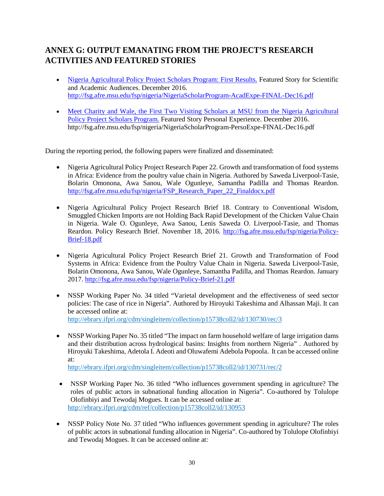### <span id="page-29-0"></span>**ANNEX G: OUTPUT EMANATING FROM THE PROJECT'S RESEARCH ACTIVITIES AND FEATURED STORIES**

- [Nigeria Agricultural Policy Project Scholars Program: First Results.](http://fsg.afre.msu.edu/fsp/nigeria/NigeriaScholarProgram-AcadExpe-FINAL-Dec16.pdf) Featured Story for Scientific and Academic Audiences. December 2016. <http://fsg.afre.msu.edu/fsp/nigeria/NigeriaScholarProgram-AcadExpe-FINAL-Dec16.pdf>
- Meet Charity and Wale, the First Two Visiting Scholars at MSU from the Nigeria Agricultural [Policy Project Scholars Program.](http://fsg.afre.msu.edu/fsp/nigeria/NigeriaScholarProgram-PersoExpe-FINAL-Dec16.pdf) Featured Story Personal Experience. December 2016. http://fsg.afre.msu.edu/fsp/nigeria/NigeriaScholarProgram-PersoExpe-FINAL-Dec16.pdf

During the reporting period, the following papers were finalized and disseminated:

- Nigeria Agricultural Policy Project Research Paper 22. Growth and transformation of food systems in Africa: Evidence from the poultry value chain in Nigeria. Authored by Saweda Liverpool-Tasie, Bolarin Omonona, Awa Sanou, Wale Ogunleye, Samantha Padilla and Thomas Reardon. [http://fsg.afre.msu.edu/fsp/nigeria/FSP\\_Research\\_Paper\\_22\\_Finaldocx.pdf](http://fsg.afre.msu.edu/fsp/nigeria/FSP_Research_Paper_22_Finaldocx.pdf)
- Nigeria Agricultural Policy Project Research Brief 18. Contrary to Conventional Wisdom, Smuggled Chicken Imports are not Holding Back Rapid Development of the Chicken Value Chain in Nigeria. Wale O. Ogunleye, Awa Sanou, Lenis Saweda O. Liverpool-Tasie, and Thomas Reardon. Policy Research Brief. November 18, 2016. [http://fsg.afre.msu.edu/fsp/nigeria/Policy-](http://fsg.afre.msu.edu/fsp/nigeria/Policy-Brief-18.pdf)[Brief-18.pdf](http://fsg.afre.msu.edu/fsp/nigeria/Policy-Brief-18.pdf)
- Nigeria Agricultural Policy Project Research Brief 21. Growth and Transformation of Food Systems in Africa: Evidence from the Poultry Value Chain in Nigeria. Saweda Liverpool-Tasie, Bolarin Omonona, Awa Sanou, Wale Ogunleye, Samantha Padilla, and Thomas Reardon. January 2017.<http://fsg.afre.msu.edu/fsp/nigeria/Policy-Brief-21.pdf>
- NSSP Working Paper No. 34 titled "Varietal development and the [effectiveness](http://ebrary.ifpri.org/cdm/singleitem/collection/p15738coll2/id/130730/rec/3) of seed sector policies: The case of rice in [Nigeria".](http://ebrary.ifpri.org/cdm/singleitem/collection/p15738coll2/id/130730/rec/3) Authored by Hiroyuki Takeshima and Alhassan Maji. It can be accessed online at: <http://ebrary.ifpri.org/cdm/singleitem/collection/p15738coll2/id/130730/rec/3>
- NSSP Working Paper No. 35 titled "The impact on farm household welfare of large irrigation dams [and their distribution across hydrological basins: Insights from northern Nigeria"](http://ebrary.ifpri.org/cdm/singleitem/collection/p15738coll2/id/130731/rec/2) . Authored by Hiroyuki Takeshima, Adetola I. Adeoti and Oluwafemi Adebola Popoola. It can be accessed online at:

<http://ebrary.ifpri.org/cdm/singleitem/collection/p15738coll2/id/130731/rec/2>

- NSSP Working Paper No. 36 titled "Who influences government spending in agriculture? The roles of public actors in subnational funding allocation in Nigeria". Co-authored by Tolulope Olofinbiyi and Tewodaj Mogues. It can be accessed online at: <http://ebrary.ifpri.org/cdm/ref/collection/p15738coll2/id/130953>
- NSSP Policy Note No. 37 titled "Who influences government spending in agriculture? The roles of public actors in subnational funding allocation in Nigeria". Co-authored by Tolulope Olofinbiyi and Tewodaj Mogues. It can be accessed online at: